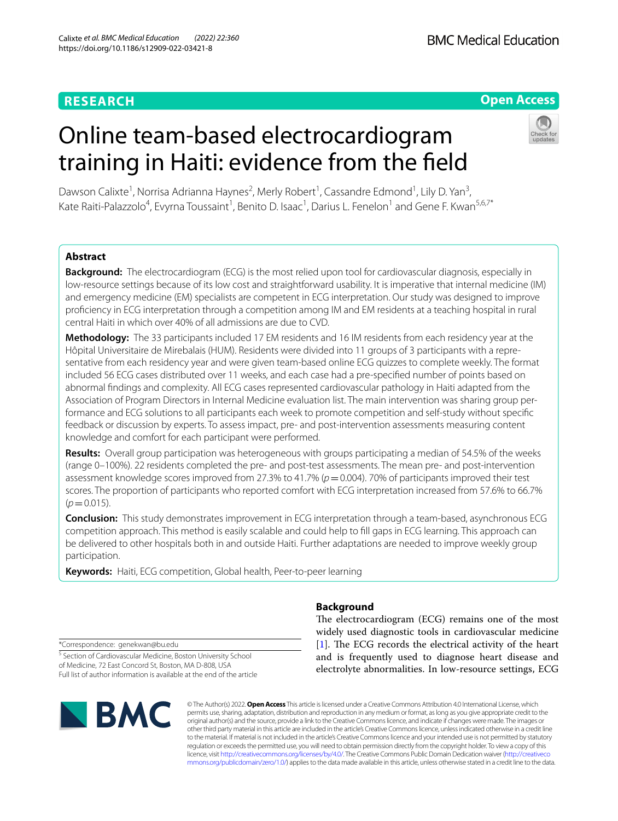# **RESEARCH**

**BMC Medical Education** 

# **Open Access**

# Online team-based electrocardiogram training in Haiti: evidence from the feld



Dawson Calixte<sup>1</sup>, Norrisa Adrianna Haynes<sup>2</sup>, Merly Robert<sup>1</sup>, Cassandre Edmond<sup>1</sup>, Lily D. Yan<sup>3</sup>, Kate Raiti-Palazzolo<sup>4</sup>, Evyrna Toussaint<sup>1</sup>, Benito D. Isaac<sup>1</sup>, Darius L. Fenelon<sup>1</sup> and Gene F. Kwan<sup>5,6,7\*</sup>

# **Abstract**

**Background:** The electrocardiogram (ECG) is the most relied upon tool for cardiovascular diagnosis, especially in low-resource settings because of its low cost and straightforward usability. It is imperative that internal medicine (IM) and emergency medicine (EM) specialists are competent in ECG interpretation. Our study was designed to improve profciency in ECG interpretation through a competition among IM and EM residents at a teaching hospital in rural central Haiti in which over 40% of all admissions are due to CVD.

**Methodology:** The 33 participants included 17 EM residents and 16 IM residents from each residency year at the Hôpital Universitaire de Mirebalais (HUM). Residents were divided into 11 groups of 3 participants with a representative from each residency year and were given team-based online ECG quizzes to complete weekly. The format included 56 ECG cases distributed over 11 weeks, and each case had a pre-specifed number of points based on abnormal fndings and complexity. All ECG cases represented cardiovascular pathology in Haiti adapted from the Association of Program Directors in Internal Medicine evaluation list. The main intervention was sharing group per‑ formance and ECG solutions to all participants each week to promote competition and self-study without specifc feedback or discussion by experts. To assess impact, pre- and post-intervention assessments measuring content knowledge and comfort for each participant were performed.

**Results:** Overall group participation was heterogeneous with groups participating a median of 54.5% of the weeks (range 0–100%). 22 residents completed the pre- and post-test assessments. The mean pre- and post-intervention assessment knowledge scores improved from 27.3% to 41.7% (*p*=0.004). 70% of participants improved their test scores. The proportion of participants who reported comfort with ECG interpretation increased from 57.6% to 66.7%  $(p=0.015)$ .

**Conclusion:** This study demonstrates improvement in ECG interpretation through a team-based, asynchronous ECG competition approach. This method is easily scalable and could help to fll gaps in ECG learning. This approach can be delivered to other hospitals both in and outside Haiti. Further adaptations are needed to improve weekly group participation.

**Keywords:** Haiti, ECG competition, Global health, Peer-to-peer learning

# **Background**

The electrocardiogram (ECG) remains one of the most widely used diagnostic tools in cardiovascular medicine  $[1]$  $[1]$ . The ECG records the electrical activity of the heart and is frequently used to diagnose heart disease and electrolyte abnormalities. In low-resource settings, ECG

\*Correspondence: genekwan@bu.edu

<sup>5</sup> Section of Cardiovascular Medicine, Boston University School of Medicine, 72 East Concord St, Boston, MA D‑808, USA Full list of author information is available at the end of the article



© The Author(s) 2022. **Open Access** This article is licensed under a Creative Commons Attribution 4.0 International License, which permits use, sharing, adaptation, distribution and reproduction in any medium or format, as long as you give appropriate credit to the original author(s) and the source, provide a link to the Creative Commons licence, and indicate if changes were made. The images or other third party material in this article are included in the article's Creative Commons licence, unless indicated otherwise in a credit line to the material. If material is not included in the article's Creative Commons licence and your intended use is not permitted by statutory regulation or exceeds the permitted use, you will need to obtain permission directly from the copyright holder. To view a copy of this licence, visit [http://creativecommons.org/licenses/by/4.0/.](http://creativecommons.org/licenses/by/4.0/) The Creative Commons Public Domain Dedication waiver ([http://creativeco](http://creativecommons.org/publicdomain/zero/1.0/) [mmons.org/publicdomain/zero/1.0/](http://creativecommons.org/publicdomain/zero/1.0/)) applies to the data made available in this article, unless otherwise stated in a credit line to the data.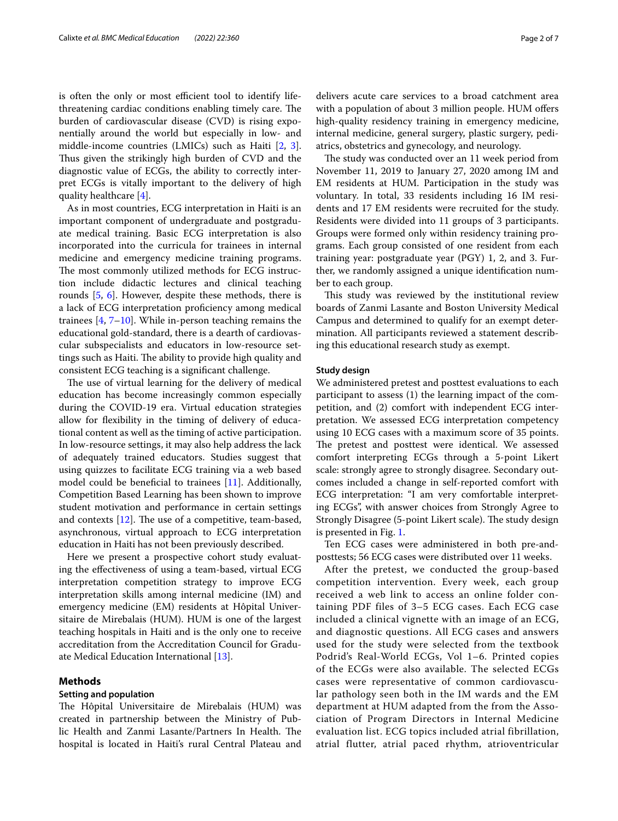is often the only or most efficient tool to identify lifethreatening cardiac conditions enabling timely care. The burden of cardiovascular disease (CVD) is rising exponentially around the world but especially in low- and middle-income countries (LMICs) such as Haiti [[2,](#page-6-1) [3](#page-6-2)]. Thus given the strikingly high burden of CVD and the diagnostic value of ECGs, the ability to correctly interpret ECGs is vitally important to the delivery of high quality healthcare [\[4](#page-6-3)].

As in most countries, ECG interpretation in Haiti is an important component of undergraduate and postgraduate medical training. Basic ECG interpretation is also incorporated into the curricula for trainees in internal medicine and emergency medicine training programs. The most commonly utilized methods for ECG instruction include didactic lectures and clinical teaching rounds [\[5](#page-6-4), [6](#page-6-5)]. However, despite these methods, there is a lack of ECG interpretation profciency among medical trainees  $[4, 7-10]$  $[4, 7-10]$  $[4, 7-10]$ . While in-person teaching remains the educational gold-standard, there is a dearth of cardiovascular subspecialists and educators in low-resource settings such as Haiti. The ability to provide high quality and consistent ECG teaching is a signifcant challenge.

The use of virtual learning for the delivery of medical education has become increasingly common especially during the COVID-19 era. Virtual education strategies allow for fexibility in the timing of delivery of educational content as well as the timing of active participation. In low-resource settings, it may also help address the lack of adequately trained educators. Studies suggest that using quizzes to facilitate ECG training via a web based model could be beneficial to trainees [\[11](#page-6-8)]. Additionally, Competition Based Learning has been shown to improve student motivation and performance in certain settings and contexts  $[12]$  $[12]$ . The use of a competitive, team-based, asynchronous, virtual approach to ECG interpretation education in Haiti has not been previously described.

Here we present a prospective cohort study evaluating the efectiveness of using a team-based, virtual ECG interpretation competition strategy to improve ECG interpretation skills among internal medicine (IM) and emergency medicine (EM) residents at Hôpital Universitaire de Mirebalais (HUM). HUM is one of the largest teaching hospitals in Haiti and is the only one to receive accreditation from the Accreditation Council for Graduate Medical Education International [\[13](#page-6-10)].

# **Methods**

# **Setting and population**

The Hôpital Universitaire de Mirebalais (HUM) was created in partnership between the Ministry of Public Health and Zanmi Lasante/Partners In Health. The hospital is located in Haiti's rural Central Plateau and delivers acute care services to a broad catchment area with a population of about 3 million people. HUM offers high-quality residency training in emergency medicine, internal medicine, general surgery, plastic surgery, pediatrics, obstetrics and gynecology, and neurology.

The study was conducted over an 11 week period from November 11, 2019 to January 27, 2020 among IM and EM residents at HUM. Participation in the study was voluntary. In total, 33 residents including 16 IM residents and 17 EM residents were recruited for the study. Residents were divided into 11 groups of 3 participants. Groups were formed only within residency training programs. Each group consisted of one resident from each training year: postgraduate year (PGY) 1, 2, and 3. Further, we randomly assigned a unique identifcation number to each group.

This study was reviewed by the institutional review boards of Zanmi Lasante and Boston University Medical Campus and determined to qualify for an exempt determination. All participants reviewed a statement describing this educational research study as exempt.

#### **Study design**

We administered pretest and posttest evaluations to each participant to assess (1) the learning impact of the competition, and (2) comfort with independent ECG interpretation. We assessed ECG interpretation competency using 10 ECG cases with a maximum score of 35 points. The pretest and posttest were identical. We assessed comfort interpreting ECGs through a 5-point Likert scale: strongly agree to strongly disagree. Secondary outcomes included a change in self-reported comfort with ECG interpretation: "I am very comfortable interpreting ECGs", with answer choices from Strongly Agree to Strongly Disagree (5-point Likert scale). The study design is presented in Fig. [1](#page-2-0).

Ten ECG cases were administered in both pre-andposttests; 56 ECG cases were distributed over 11 weeks.

After the pretest, we conducted the group-based competition intervention. Every week, each group received a web link to access an online folder containing PDF files of 3–5 ECG cases. Each ECG case included a clinical vignette with an image of an ECG, and diagnostic questions. All ECG cases and answers used for the study were selected from the textbook Podrid's Real-World ECGs, Vol 1–6. Printed copies of the ECGs were also available. The selected ECGs cases were representative of common cardiovascular pathology seen both in the IM wards and the EM department at HUM adapted from the from the Association of Program Directors in Internal Medicine evaluation list. ECG topics included atrial fibrillation, atrial flutter, atrial paced rhythm, atrioventricular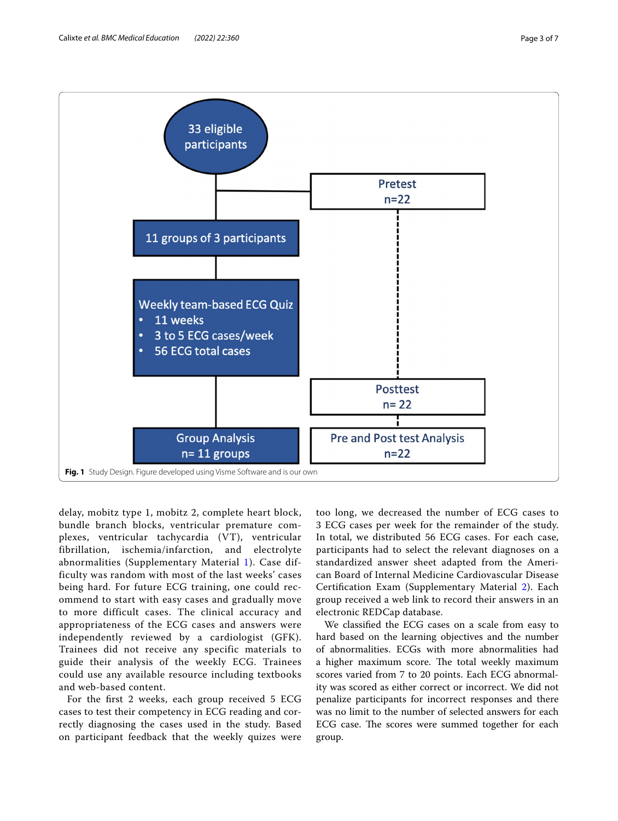

<span id="page-2-0"></span>delay, mobitz type 1, mobitz 2, complete heart block, bundle branch blocks, ventricular premature complexes, ventricular tachycardia (VT), ventricular fibrillation, ischemia/infarction, and electrolyte abnormalities (Supplementary Material [1](#page-5-0)). Case difficulty was random with most of the last weeks' cases being hard. For future ECG training, one could recommend to start with easy cases and gradually move to more difficult cases. The clinical accuracy and appropriateness of the ECG cases and answers were independently reviewed by a cardiologist (GFK). Trainees did not receive any specific materials to guide their analysis of the weekly ECG. Trainees could use any available resource including textbooks and web-based content.

For the frst 2 weeks, each group received 5 ECG cases to test their competency in ECG reading and correctly diagnosing the cases used in the study. Based on participant feedback that the weekly quizes were too long, we decreased the number of ECG cases to 3 ECG cases per week for the remainder of the study. In total, we distributed 56 ECG cases. For each case, participants had to select the relevant diagnoses on a standardized answer sheet adapted from the American Board of Internal Medicine Cardiovascular Disease Certifcation Exam (Supplementary Material [2](#page-5-1)). Each group received a web link to record their answers in an electronic REDCap database.

We classifed the ECG cases on a scale from easy to hard based on the learning objectives and the number of abnormalities. ECGs with more abnormalities had a higher maximum score. The total weekly maximum scores varied from 7 to 20 points. Each ECG abnormality was scored as either correct or incorrect. We did not penalize participants for incorrect responses and there was no limit to the number of selected answers for each ECG case. The scores were summed together for each group.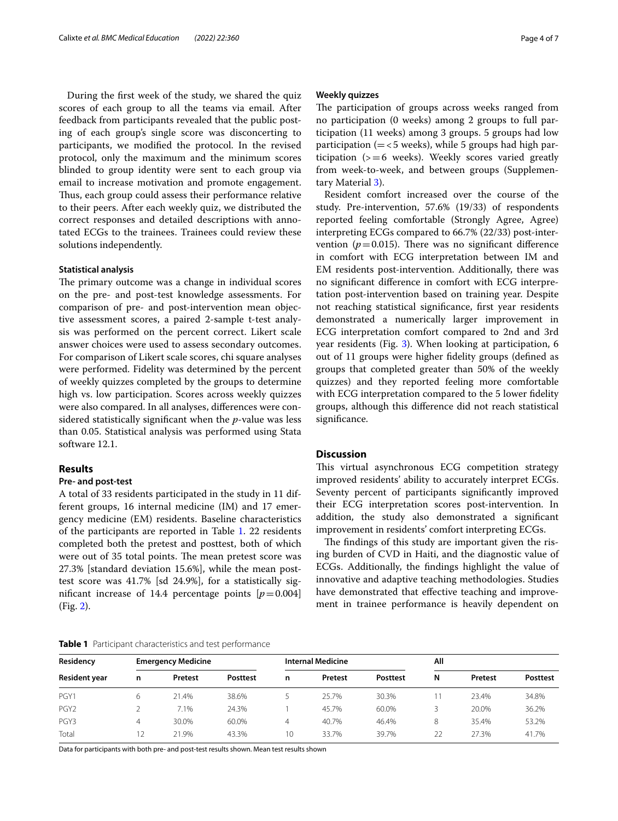During the frst week of the study, we shared the quiz scores of each group to all the teams via email. After feedback from participants revealed that the public posting of each group's single score was disconcerting to participants, we modifed the protocol. In the revised protocol, only the maximum and the minimum scores blinded to group identity were sent to each group via email to increase motivation and promote engagement. Thus, each group could assess their performance relative to their peers. After each weekly quiz, we distributed the correct responses and detailed descriptions with annotated ECGs to the trainees. Trainees could review these solutions independently.

## **Statistical analysis**

The primary outcome was a change in individual scores on the pre- and post-test knowledge assessments. For comparison of pre- and post-intervention mean objective assessment scores, a paired 2-sample t-test analysis was performed on the percent correct. Likert scale answer choices were used to assess secondary outcomes. For comparison of Likert scale scores, chi square analyses were performed. Fidelity was determined by the percent of weekly quizzes completed by the groups to determine high vs. low participation. Scores across weekly quizzes were also compared. In all analyses, diferences were considered statistically signifcant when the *p*-value was less than 0.05. Statistical analysis was performed using Stata software 12.1.

# **Results**

### **Pre‑ and post‑test**

A total of 33 residents participated in the study in 11 different groups, 16 internal medicine (IM) and 17 emergency medicine (EM) residents. Baseline characteristics of the participants are reported in Table [1.](#page-3-0) 22 residents completed both the pretest and posttest, both of which were out of 35 total points. The mean pretest score was 27.3% [standard deviation 15.6%], while the mean posttest score was 41.7% [sd 24.9%], for a statistically significant increase of 14.4 percentage points  $[p=0.004]$ (Fig. [2\)](#page-4-0).

## <span id="page-3-0"></span>**Table 1** Participant characteristics and test performance

## **Weekly quizzes**

The participation of groups across weeks ranged from no participation (0 weeks) among 2 groups to full participation (11 weeks) among 3 groups. 5 groups had low participation ( $=<$  5 weeks), while 5 groups had high participation  $(>=6$  weeks). Weekly scores varied greatly from week-to-week, and between groups (Supplementary Material [3](#page-5-2)).

Resident comfort increased over the course of the study. Pre-intervention, 57.6% (19/33) of respondents reported feeling comfortable (Strongly Agree, Agree) interpreting ECGs compared to 66.7% (22/33) post-intervention ( $p=0.015$ ). There was no significant difference in comfort with ECG interpretation between IM and EM residents post-intervention. Additionally, there was no signifcant diference in comfort with ECG interpretation post-intervention based on training year. Despite not reaching statistical signifcance, frst year residents demonstrated a numerically larger improvement in ECG interpretation comfort compared to 2nd and 3rd year residents (Fig. [3](#page-4-1)). When looking at participation, 6 out of 11 groups were higher fdelity groups (defned as groups that completed greater than 50% of the weekly quizzes) and they reported feeling more comfortable with ECG interpretation compared to the 5 lower fdelity groups, although this diference did not reach statistical signifcance.

# **Discussion**

This virtual asynchronous ECG competition strategy improved residents' ability to accurately interpret ECGs. Seventy percent of participants signifcantly improved their ECG interpretation scores post-intervention. In addition, the study also demonstrated a signifcant improvement in residents' comfort interpreting ECGs.

The findings of this study are important given the rising burden of CVD in Haiti, and the diagnostic value of ECGs. Additionally, the fndings highlight the value of innovative and adaptive teaching methodologies. Studies have demonstrated that effective teaching and improvement in trainee performance is heavily dependent on

| Residency<br>Resident year | <b>Emergency Medicine</b> |         |                 | <b>Internal Medicine</b> |         |          | All |         |          |
|----------------------------|---------------------------|---------|-----------------|--------------------------|---------|----------|-----|---------|----------|
|                            | n                         | Pretest | <b>Posttest</b> | n                        | Pretest | Posttest | N   | Pretest | Posttest |
| PGY1                       | 6                         | 21.4%   | 38.6%           |                          | 25.7%   | 30.3%    |     | 23.4%   | 34.8%    |
| PGY <sub>2</sub>           |                           | 7.1%    | 24.3%           |                          | 45.7%   | 60.0%    |     | 20.0%   | 36.2%    |
| PGY3                       | 4                         | 30.0%   | 60.0%           | 4                        | 40.7%   | 46.4%    | 8   | 35.4%   | 53.2%    |
| Total                      | 12                        | 21.9%   | 43.3%           | 10                       | 33.7%   | 39.7%    | 22  | 27.3%   | 41.7%    |

Data for participants with both pre- and post-test results shown. Mean test results shown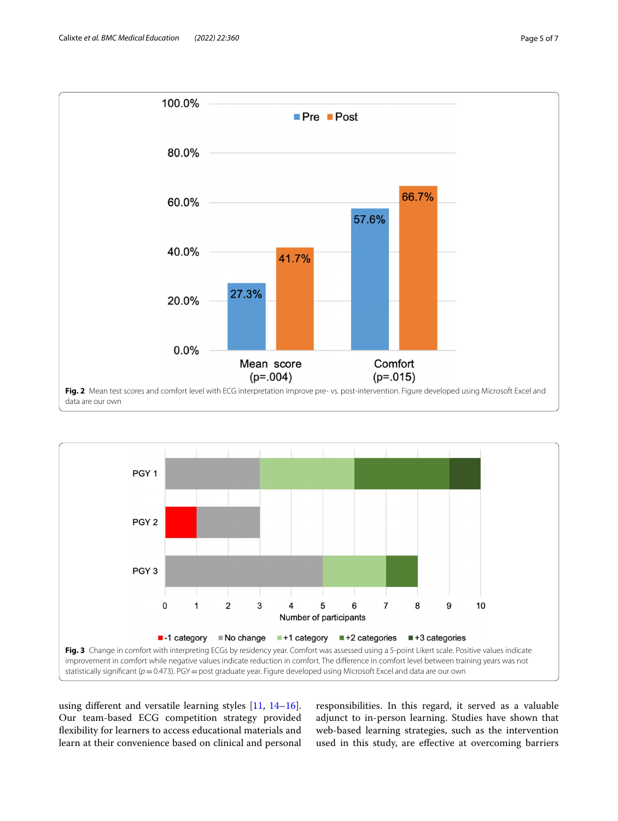

<span id="page-4-0"></span>

<span id="page-4-1"></span>using diferent and versatile learning styles [[11,](#page-6-8) [14](#page-6-11)[–16](#page-6-12)]. Our team-based ECG competition strategy provided fexibility for learners to access educational materials and learn at their convenience based on clinical and personal

responsibilities. In this regard, it served as a valuable adjunct to in-person learning. Studies have shown that web-based learning strategies, such as the intervention used in this study, are efective at overcoming barriers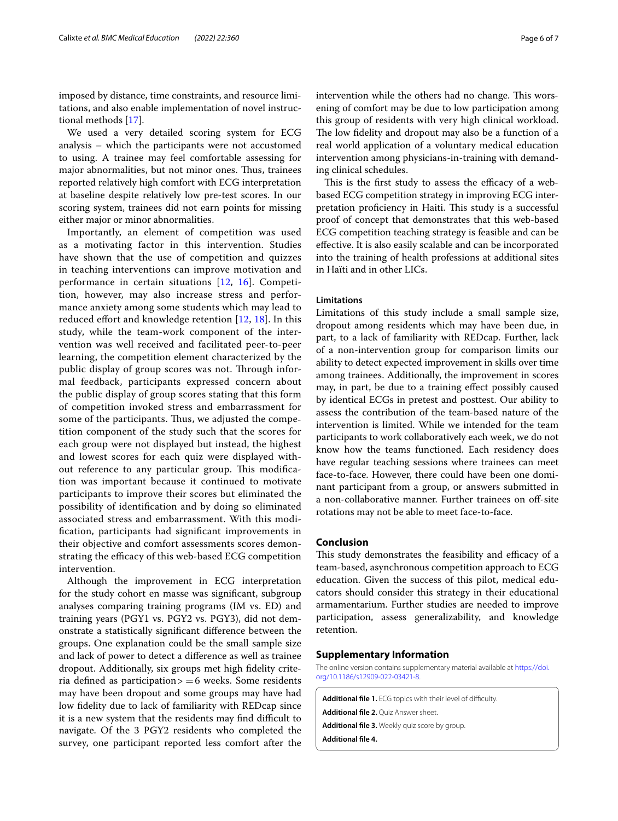imposed by distance, time constraints, and resource limitations, and also enable implementation of novel instructional methods [[17\]](#page-6-13).

We used a very detailed scoring system for ECG analysis – which the participants were not accustomed to using. A trainee may feel comfortable assessing for major abnormalities, but not minor ones. Thus, trainees reported relatively high comfort with ECG interpretation at baseline despite relatively low pre-test scores. In our scoring system, trainees did not earn points for missing either major or minor abnormalities.

Importantly, an element of competition was used as a motivating factor in this intervention. Studies have shown that the use of competition and quizzes in teaching interventions can improve motivation and performance in certain situations [\[12](#page-6-9), [16\]](#page-6-12). Competition, however, may also increase stress and performance anxiety among some students which may lead to reduced effort and knowledge retention  $[12, 18]$  $[12, 18]$  $[12, 18]$  $[12, 18]$  $[12, 18]$ . In this study, while the team-work component of the intervention was well received and facilitated peer-to-peer learning, the competition element characterized by the public display of group scores was not. Through informal feedback, participants expressed concern about the public display of group scores stating that this form of competition invoked stress and embarrassment for some of the participants. Thus, we adjusted the competition component of the study such that the scores for each group were not displayed but instead, the highest and lowest scores for each quiz were displayed without reference to any particular group. This modification was important because it continued to motivate participants to improve their scores but eliminated the possibility of identifcation and by doing so eliminated associated stress and embarrassment. With this modifcation, participants had signifcant improvements in their objective and comfort assessments scores demonstrating the efficacy of this web-based ECG competition intervention.

Although the improvement in ECG interpretation for the study cohort en masse was signifcant, subgroup analyses comparing training programs (IM vs. ED) and training years (PGY1 vs. PGY2 vs. PGY3), did not demonstrate a statistically signifcant diference between the groups. One explanation could be the small sample size and lack of power to detect a diference as well as trainee dropout. Additionally, six groups met high fdelity criteria defined as participation $> = 6$  weeks. Some residents may have been dropout and some groups may have had low fdelity due to lack of familiarity with REDcap since it is a new system that the residents may find difficult to navigate. Of the 3 PGY2 residents who completed the survey, one participant reported less comfort after the

intervention while the others had no change. This worsening of comfort may be due to low participation among this group of residents with very high clinical workload. The low fidelity and dropout may also be a function of a real world application of a voluntary medical education intervention among physicians-in-training with demanding clinical schedules.

This is the first study to assess the efficacy of a webbased ECG competition strategy in improving ECG interpretation proficiency in Haiti. This study is a successful proof of concept that demonstrates that this web-based ECG competition teaching strategy is feasible and can be efective. It is also easily scalable and can be incorporated into the training of health professions at additional sites in Haïti and in other LICs.

# **Limitations**

Limitations of this study include a small sample size, dropout among residents which may have been due, in part, to a lack of familiarity with REDcap. Further, lack of a non-intervention group for comparison limits our ability to detect expected improvement in skills over time among trainees. Additionally, the improvement in scores may, in part, be due to a training efect possibly caused by identical ECGs in pretest and posttest. Our ability to assess the contribution of the team-based nature of the intervention is limited. While we intended for the team participants to work collaboratively each week, we do not know how the teams functioned. Each residency does have regular teaching sessions where trainees can meet face-to-face. However, there could have been one dominant participant from a group, or answers submitted in a non-collaborative manner. Further trainees on off-site rotations may not be able to meet face-to-face.

# **Conclusion**

This study demonstrates the feasibility and efficacy of a team-based, asynchronous competition approach to ECG education. Given the success of this pilot, medical educators should consider this strategy in their educational armamentarium. Further studies are needed to improve participation, assess generalizability, and knowledge retention.

# **Supplementary Information**

The online version contains supplementary material available at [https://doi.](https://doi.org/10.1186/s12909-022-03421-8) [org/10.1186/s12909-022-03421-8](https://doi.org/10.1186/s12909-022-03421-8).

<span id="page-5-3"></span><span id="page-5-2"></span><span id="page-5-1"></span><span id="page-5-0"></span>Additional file 1. ECG topics with their level of difficulty. **Additional fle 2.** Quiz Answer sheet. **Additional fle 3.** Weekly quiz score by group. **Additional fle 4.**